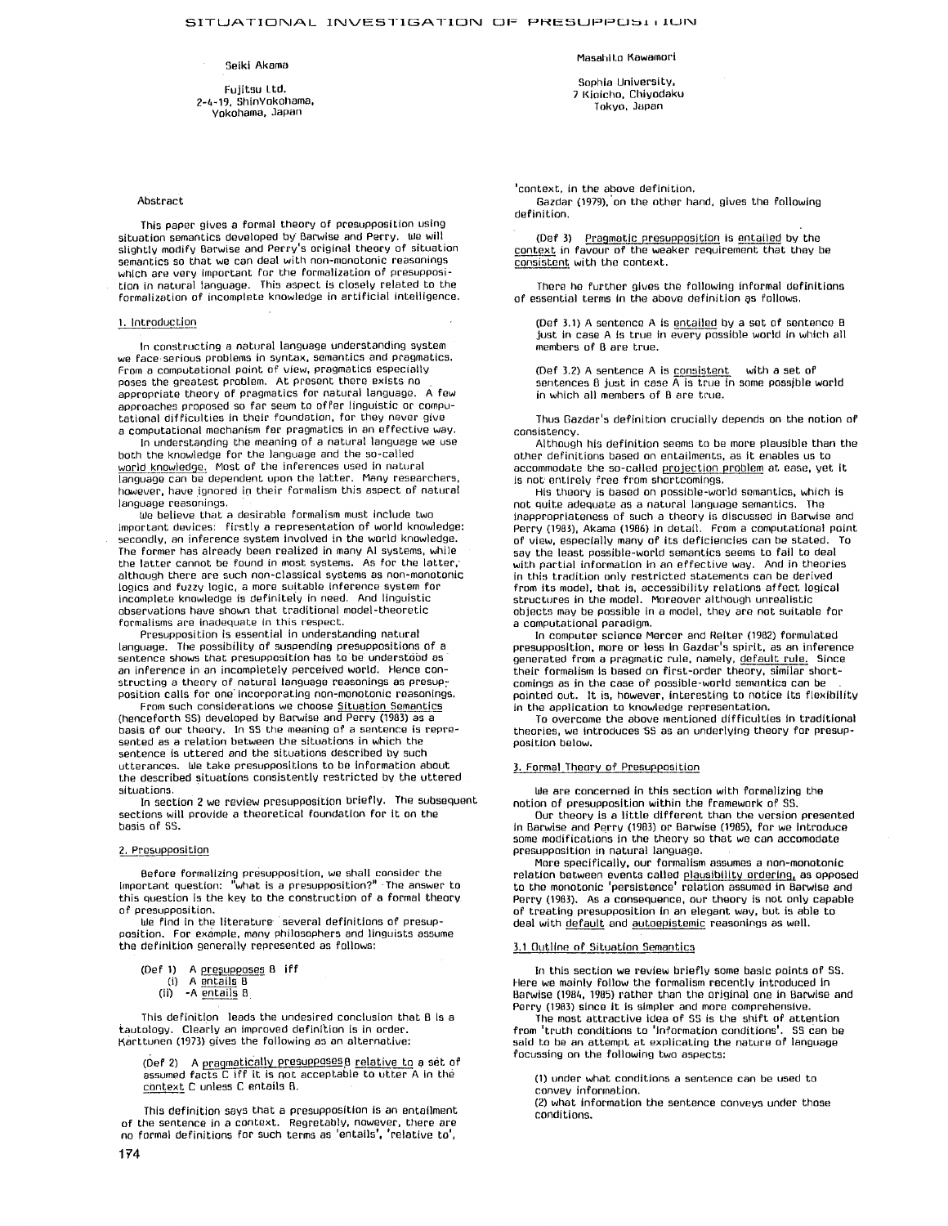#### Selkl Akama

Fujitsu I.td. 2-4-19, ShinYokohama, Yokohama, Japan

### Abstract

This paper gives a formal theory of presupposition using situation semantics developed by Barwise and Perry, we will slightly modify Barwise and Perry's original theory of situation semantics so that we can deal with non-monotonic reasonings which are very important for the formalization of presupposi-tion in natural language. This aspect is closely related to the formalization of incomplete knowledge in artificial intelligence,

# 1. Introduction

In constructing a natural language understanding system we face,serious problems in syntax, semantics and pragmatlcs, From a computational point of view, pragmatics especially poses the greatest problem. At present there exists no appropriate theory of pragmatics for natural language. A few approaches proposed so far seem to offer linguistic or computational difficulties in their foundation, for they never give a computational mechanism for pragmatics in an effective way.

In understaqding the meaning of a natural language we use both the knowledge for the language and the so-called world knowledge. Most of the inferences used in natural language can be dependent upon the latter. Many researchers, however, have ignored in their formalism this aspect of natural language reasonings.

We believe that a desirable formalism must include two important devices: firstly a representation of world knowledge: secondly, an inference system involved in the world knowledge. The former has already been realized in many AI systems, while the latter cannot be found in most systems. As for the latter, although there are such non-classical systems as non-monotonic logics and fuzzy logic, a more suitable inference system for incomplete knowledge is definitely in need. And linguistic observations have shown that traditional model-theoretic formalisms are inadequate in this respect.

Presupposition is essential In understanding natural language. The possibility of suspending presuppositions of a sentence shows that presupposition has to be understood as an inference in an incompletely perceived world. Hence constructing a theory of natural language reasonings as presupposition calls for one" Incorporating non-monotonic reasonings,

From such considerations we choose Situation Semantics (henceforth SS) developed by Barwise and Perry (1983) as a basis of our theory. In SS the meaning of a sentence is repre-sented as a relation between the situations in which the sentence is uttered and the situations described by such utterances. We take presuppositions to be information about the described situations consistently restricted by the uttered situations.

In section Z we review presupposition briefly. The subsequent sections will provide a theoretical foundation for it on the basis of 5S.

# 2, Presupposition

Before formalizing pr(~supposition, we shah consider the important question: "what is a presupposition?" The answer to this question Is the kev to the construction of a formal theory of presupposition.

We find in the literature- several definitions of presup-position. For example, many philosophers and linguists assume the definition generally represented as follows:

- 
- (Def 1) A presupposes 8 iff (i) A entails B
	- $(ii)$  -A entails  $B$

This definition leads the undesired conclusion that B Is a tautology. Clearly an improved definition is in order. Karttunen (1973) gives the following as an alternative:

 $(Def 2)$  A pragmatically presupposes  $B$  relative to a set of assumed facts C iff it is not acceptable to utter A in the context C unless C entails B,

This definition says that a presupposition is an entailment of the sentence in a context. Regretablv, nowever, there are no formal definitions for such terms as 'entails', 'relative to',

Masahlto RawamorI

Sophia University, 2 Kieicho, Chivodaku Tokyo, Japan

'context, in the above definition,

Gazdar (1979),'on the other hand, gives the following definition.

(Def 3) Pragmatic presupposition is entailed by the context in favour of the weaker requirement that they be consistent with the context.

There he further gives the fallowing informal definitions of essential terms in the above definition as follows.

(Def 3.1) A sentence A is entailed bv a set of sentence B Just in case A is true in every possible world in which all members of B are true.

(Def 3.2) A sentence A is consistent with a set of sentences  $B$  just in case  $\overline{A}$  is true in some possible world in which all members of B are true.

Thus Gazdar's definition crucially depends on the notion of consistency.

Although his definition seems to be more plausible than the other definitions based en entailments, as it enables us to accommodate the so-called projection problem at ease, yet it is not' entirely free from shortcomings,

His theory is based on possible-world semantics, which is not quite adequate as a natural language semantics. The Inappropriateness of such a theory is discussed in BarwJse and Perry (1983), Akama (1986) in detail. From a computational point of view, especially many of its deficiencies can be stated, To say the least possible-world semantics seems to fail to deal with partial information in an effective way, And in theories in this tradition only restricted statements can be derived from its model, that is, accessibility relations affect logical structures in the model. Moreover although unrealistic objects may be possible in a model, they are not suitable for a computational paradigm.

In computer science Mercer and Relter (1982) formulated presupposition, more or less In Gazdar's spirit, as an inference generated from a pragmatic rule, namely, default rule. Since their formalism ts based on first-order theory, similar shortcomings as in the case of passible-world semantics can be pointed out. It is, however, interesting to notice its flexibility in the application to knowledge representation.

To overcome the above mentioned difficulties in traditional theories, we introduces SS as an underlying theory for presupposition below,

### 3. Formal Theory of Presupposition

We are concerned in this section with formalizing the notion of presupposition within the framework of SS.

Our theory is a little different than the version presented In Barwise and Perry (1983) or Barwise (1985), for we Introduce some modifications in the theory so that we can accomodate presupposition in natural language,

More specifically, our formalism assumes a non-monotonic relation between events called plausibility orderin9, as opposed to the monotonic 'persistence' relation assumed in Barwise and Perry (1983). As a consequence, our theory is not only capable of treating presupposition In an elegant way, but is able to deal with default and autoepistemic reasonings as well.

# 3,1 Outline of Situation Semantics

In this section we review briefly some basic points of SS. Here we mainly follow the formalism recently introduced in Barwise (1984, 1985) rather than the original one in Barwise and Perry (1983) since it is simpler and more comprehensive.

The most attractive idea of SS is the shift of attention from 'truth conditions to 'information conditions'. \$5 can be said to be an attempt at explicating the nature of language focussing on the following two aspects:

(1) under what conditions a sentence can be used to convey information.

(2) what information the sentence conveys under those conditions.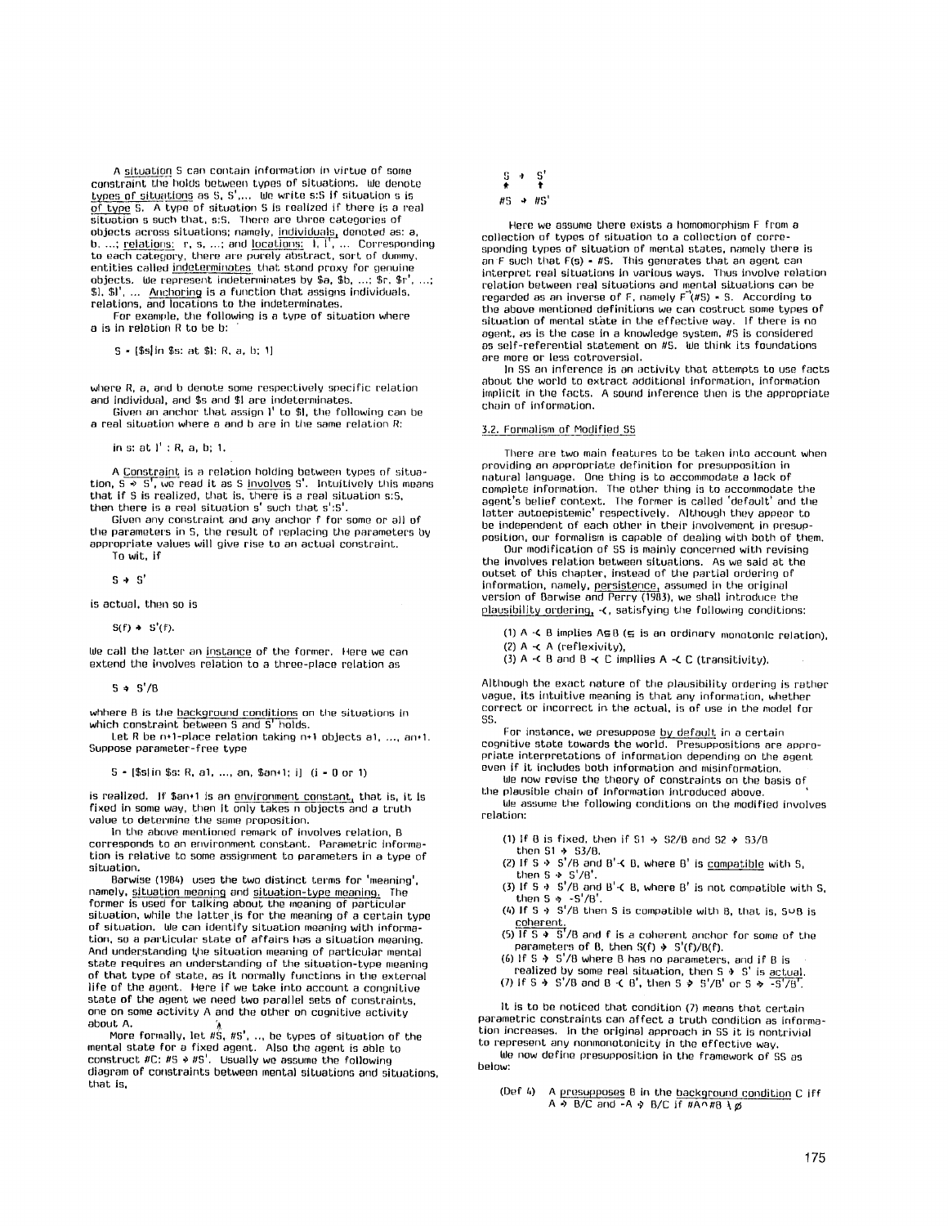A situation S can contain information in virtue of some constraint the holds between types of situations. We denote types of situations as S, S',... We write s:S if situation s is of type S. A type of situation S is realized if there is a real situation s such that, s:S, There are three categories of objects across situations; namely, individuals, denoted as: a, b, ...; <u>relations:</u> r, s, ...; and <u>locations:</u> 1, l', ... Corresponding<br>to each category, there are purely abstract, sort of dummy,<br>entities called <u>indeterminates</u> that stand proxy for genuine objects. We represent indeterminates by \$a, \$b, ...; \$r, \$r', ...; \$1, \$1', .... Anchoring is a function that assigns individuals, relations, and locations to the indeterminates.

For example, the following is a type of situation where  $a$  is in relation  $R$  to be  $b$ :

S - (\$s]ln \$s: at \$1: R. a, b: 1]

where R, a, and b denote some respectively specific relation and individual, and \$s and \$1 are indeteminates.

Given an anchor that assign 1' to \$1, the following can be a real situation where a and b are in the same relation R:

in s: at ]' **: R, a, b; 1.** 

A Constraint is a relation holding between types of situation, S  $\ast$  S', we read it as S <u>involves</u> S'. Intuitively this means .<br>that if S is realized, that is, there is a real situation s:S, then there is a real situation s' such that s':S'.

Given any constraint and any anchor f for some or all of the parameters in S, the result of replacing the parameters by appropriate values will give rise te an actual constraint. **To** wit, if

 $S \rightarrow S'$ 

is actual, then so is

**S(f) • S'(f).** 

We call the latter an instance of the former. Here we can extend the involves relation to a three-place relation as

 $S \div S'/B$ 

whhere B is the background conditions on the situations in which constraint between S and S' holds.

Let R be  $n+1$ -place relation taking  $n+1$  objects al, ..., an+1. Suppose parameter-free type

**S - [\$slin \$s: R,** al ..... an, Sam1; **i] (l - 0 or 1)** 

is realized. If \$an+1 is an environment constant, that is, it is fixed in some way, then it only takes n objects and a truth value to determine the same proposition.

In the above mentioned remark of involves relation, B corresponds to an environment constant. Parametric Informa-tion is relative to some assignment to parameters in a type of situation.

Barwise (1984) uses the two distinct terms for 'meaning', namely, <u>situation meaning</u> and <u>situation-type meaning.</u> The<br>former is used for talking about the meaning of particular situation, while the latter is for the meaning of a certain type of situation. We can identlfv situation meaning with information, so a particular state of affairs has a situation meaning. And understanding 4he situation meaning of particular mental state requires an understanding of the situation-type meaning of that type of state, as it normally functions in the external life of the agent, Here If we take into account a congnitive state of the agent we need two parallel sets of constraints, one on some activity A and the other on cognitive activity<br>about A.

about A.<br>-- More formally, let #S, #S', .., be types of situation of the<br>mental state for a fixed agent. Also the agent is able to construct  $\#C$ :  $\#S \rightarrow \#S'$ . Usually we assume the following diagram of constraints between mental situations and situations, that is,

$$
\begin{array}{ccc}\nS & \rightarrow & S' \\
\uparrow & & \uparrow \\
\#S & \rightarrow & \#S'\n\end{array}
$$

Here we assume there exists a homomorphism F from a collection of types of situation to a collection of corresponding types of situation of mental states, namely there is an  $F$  such that  $F(s) - HS$ . This generates that an agent can interpret real situations in various ways. Thus involve relation relation between real situations and mental situations can be regarded as an inverse of F, namely  $F'(H) = S$ . According to the above mentioned definitions we can eostruct some types of situation of mental state in the effective way, If there is no agent, as is the case in a knowledge system, *#S* is considered as self-referential statement on  $#S$ . We think its foundations are more or less cotroversial,

]n SS an inference is an activity that attempts to use facts about the world to extract additional information, information implicit in the facts, A sound inference then is the appropriate chain of information.

# 3,2. Formalism of Modified SS

There are two main features to be taken into account when providing an appropriate definition for presupposition in natural language, One thing is to accommodate a lack of complete information. The other thing is to accommodate the agent's belief context, fhe former is called 'default' and the latter autoepistemic' respectively. Although they appear to be independent of each other in their involvement in presupposition, our formalism is capable of dealing with both of them.

Our modification of SS is mainly concerned with revising the involves relation between situations. As we said at the outset of this chapter, instead of the partial ordering of information, namely, persistence, assumed in the original version of Barwise and Perry (1983), we shah introduce the plausibility ordering, -(, satisfying the following conditions:

(1)  $A \prec B$  implies  $A \subset B$  ( $\subsetneq$  is an ordinary monotonic relation), (2)  $A \prec A$  (reflexivity),

(3) A -( B and B -(  $\overline{C}$  implies A -(  $\overline{C}$  (transitivity),

Although the exact nature of' the plausibility ordering is rather vague, its intuitive meaning is that any information, whether correct or incorrect in the actual, is of use in the model for SS.

For instance, we presuppose <u>by default</u> in a certain for instance, we presuppose <u>by default</u> in a certain appropriate interpretations of information depending on the agent even if it includes both information and misinformation,

We now revise the theory of constraints on the basis of the plausible chain of information introduced above.

We assume the following conditions on the modified involves relation:

(1) If B is fixed, then if  $$1 \rightarrow $2/8$  and  $$2 \rightarrow $3/8$ 

then  $$1 + S3/B$ ,

(2) If  $S \rightarrow S'/B$  and  $B' \prec B$ , where B' is compatible with S, then  $S \triangleq S'/B'$ .

(3) If S  $\rightarrow$  S'/B and B'-( B, where B' is not compatible with S, then S & -S'/B'.<br>(4) If S & S'/B then S is compatible with B, that is, SUB is

coherent.

(5) If S  $\rightarrow$  S/B and f is a coherent anchor for some of the parameters of B, then  $S(f) \rightarrow S'(f)/B(f)$ .

(6) If S  $\rightarrow$  S'/B where B has no parameters, and if B is

realized by some real situation, then S  $\rightarrow$  S' is <u>actual,</u><br>(7) If S  $\rightarrow$  S'/B and B  $\cdot$  B', then S  $\rightarrow$  S'/B' or S  $\rightarrow$  -S'/B'.

It is to be noticed that condition (7) means that certain parametric constraints can affect a truth condition as information increases. In the original approach in SS it is nontrivial to represent any nonmonotonicitv in the effective way.

We now define presupposition in the framework of SS as below:

(Def 4) A <u>presupposes</u> B in the <u>background condition</u> C iff<br>A  $\rightarrow$  B/C and -A  $\rightarrow$  B/C if #A^#B \*ø*